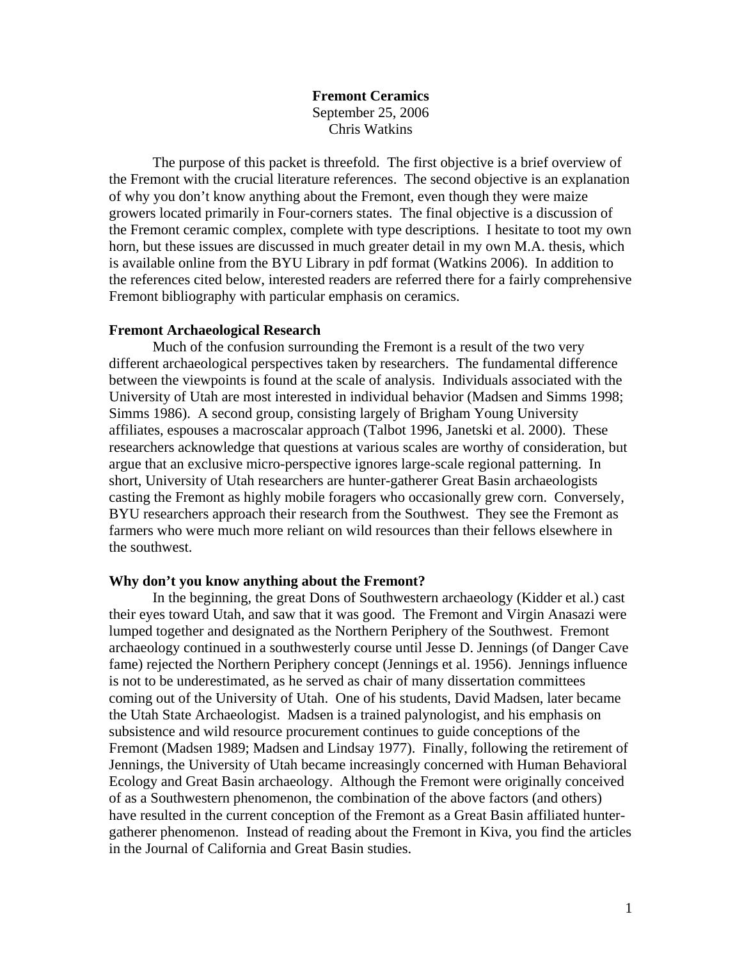**Fremont Ceramics**  September 25, 2006 Chris Watkins

The purpose of this packet is threefold. The first objective is a brief overview of the Fremont with the crucial literature references. The second objective is an explanation of why you don't know anything about the Fremont, even though they were maize growers located primarily in Four-corners states. The final objective is a discussion of the Fremont ceramic complex, complete with type descriptions. I hesitate to toot my own horn, but these issues are discussed in much greater detail in my own M.A. thesis, which is available online from the BYU Library in pdf format (Watkins 2006). In addition to the references cited below, interested readers are referred there for a fairly comprehensive Fremont bibliography with particular emphasis on ceramics.

#### **Fremont Archaeological Research**

Much of the confusion surrounding the Fremont is a result of the two very different archaeological perspectives taken by researchers. The fundamental difference between the viewpoints is found at the scale of analysis. Individuals associated with the University of Utah are most interested in individual behavior (Madsen and Simms 1998; Simms 1986). A second group, consisting largely of Brigham Young University affiliates, espouses a macroscalar approach (Talbot 1996, Janetski et al. 2000). These researchers acknowledge that questions at various scales are worthy of consideration, but argue that an exclusive micro-perspective ignores large-scale regional patterning. In short, University of Utah researchers are hunter-gatherer Great Basin archaeologists casting the Fremont as highly mobile foragers who occasionally grew corn. Conversely, BYU researchers approach their research from the Southwest. They see the Fremont as farmers who were much more reliant on wild resources than their fellows elsewhere in the southwest.

### **Why don't you know anything about the Fremont?**

In the beginning, the great Dons of Southwestern archaeology (Kidder et al.) cast their eyes toward Utah, and saw that it was good. The Fremont and Virgin Anasazi were lumped together and designated as the Northern Periphery of the Southwest. Fremont archaeology continued in a southwesterly course until Jesse D. Jennings (of Danger Cave fame) rejected the Northern Periphery concept (Jennings et al. 1956). Jennings influence is not to be underestimated, as he served as chair of many dissertation committees coming out of the University of Utah. One of his students, David Madsen, later became the Utah State Archaeologist. Madsen is a trained palynologist, and his emphasis on subsistence and wild resource procurement continues to guide conceptions of the Fremont (Madsen 1989; Madsen and Lindsay 1977). Finally, following the retirement of Jennings, the University of Utah became increasingly concerned with Human Behavioral Ecology and Great Basin archaeology. Although the Fremont were originally conceived of as a Southwestern phenomenon, the combination of the above factors (and others) have resulted in the current conception of the Fremont as a Great Basin affiliated huntergatherer phenomenon. Instead of reading about the Fremont in Kiva, you find the articles in the Journal of California and Great Basin studies.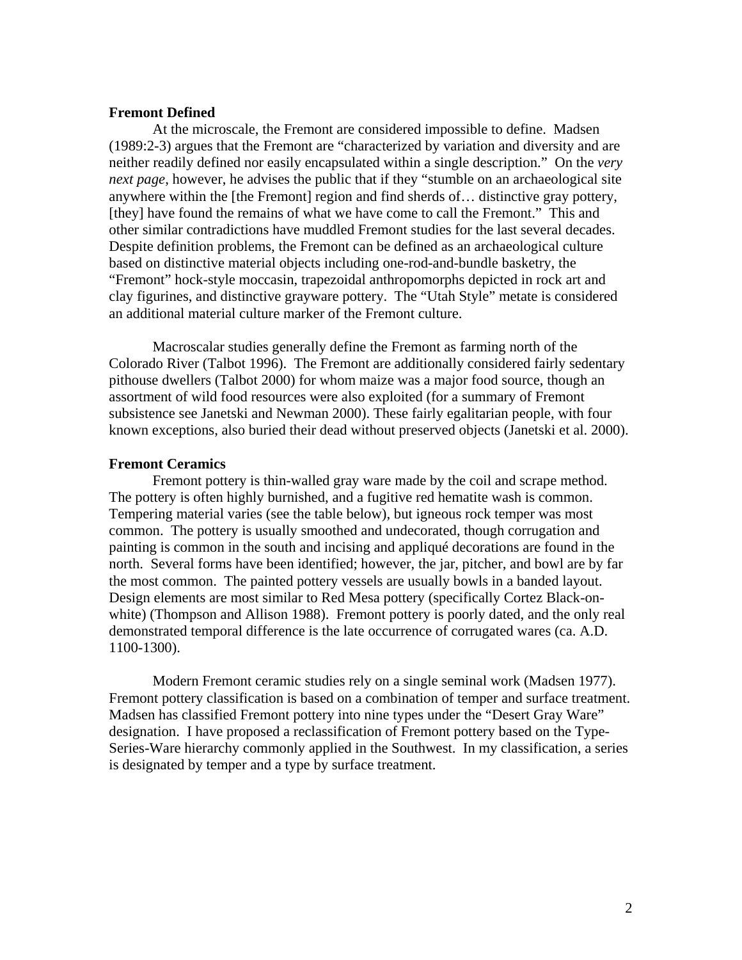### **Fremont Defined**

At the microscale, the Fremont are considered impossible to define. Madsen (1989:2-3) argues that the Fremont are "characterized by variation and diversity and are neither readily defined nor easily encapsulated within a single description." On the *very next page*, however, he advises the public that if they "stumble on an archaeological site anywhere within the [the Fremont] region and find sherds of… distinctive gray pottery, [they] have found the remains of what we have come to call the Fremont." This and other similar contradictions have muddled Fremont studies for the last several decades. Despite definition problems, the Fremont can be defined as an archaeological culture based on distinctive material objects including one-rod-and-bundle basketry, the "Fremont" hock-style moccasin, trapezoidal anthropomorphs depicted in rock art and clay figurines, and distinctive grayware pottery. The "Utah Style" metate is considered an additional material culture marker of the Fremont culture.

Macroscalar studies generally define the Fremont as farming north of the Colorado River (Talbot 1996). The Fremont are additionally considered fairly sedentary pithouse dwellers (Talbot 2000) for whom maize was a major food source, though an assortment of wild food resources were also exploited (for a summary of Fremont subsistence see Janetski and Newman 2000). These fairly egalitarian people, with four known exceptions, also buried their dead without preserved objects (Janetski et al. 2000).

### **Fremont Ceramics**

Fremont pottery is thin-walled gray ware made by the coil and scrape method. The pottery is often highly burnished, and a fugitive red hematite wash is common. Tempering material varies (see the table below), but igneous rock temper was most common. The pottery is usually smoothed and undecorated, though corrugation and painting is common in the south and incising and appliqué decorations are found in the north. Several forms have been identified; however, the jar, pitcher, and bowl are by far the most common. The painted pottery vessels are usually bowls in a banded layout. Design elements are most similar to Red Mesa pottery (specifically Cortez Black-onwhite) (Thompson and Allison 1988). Fremont pottery is poorly dated, and the only real demonstrated temporal difference is the late occurrence of corrugated wares (ca. A.D. 1100-1300).

Modern Fremont ceramic studies rely on a single seminal work (Madsen 1977). Fremont pottery classification is based on a combination of temper and surface treatment. Madsen has classified Fremont pottery into nine types under the "Desert Gray Ware" designation. I have proposed a reclassification of Fremont pottery based on the Type-Series-Ware hierarchy commonly applied in the Southwest. In my classification, a series is designated by temper and a type by surface treatment.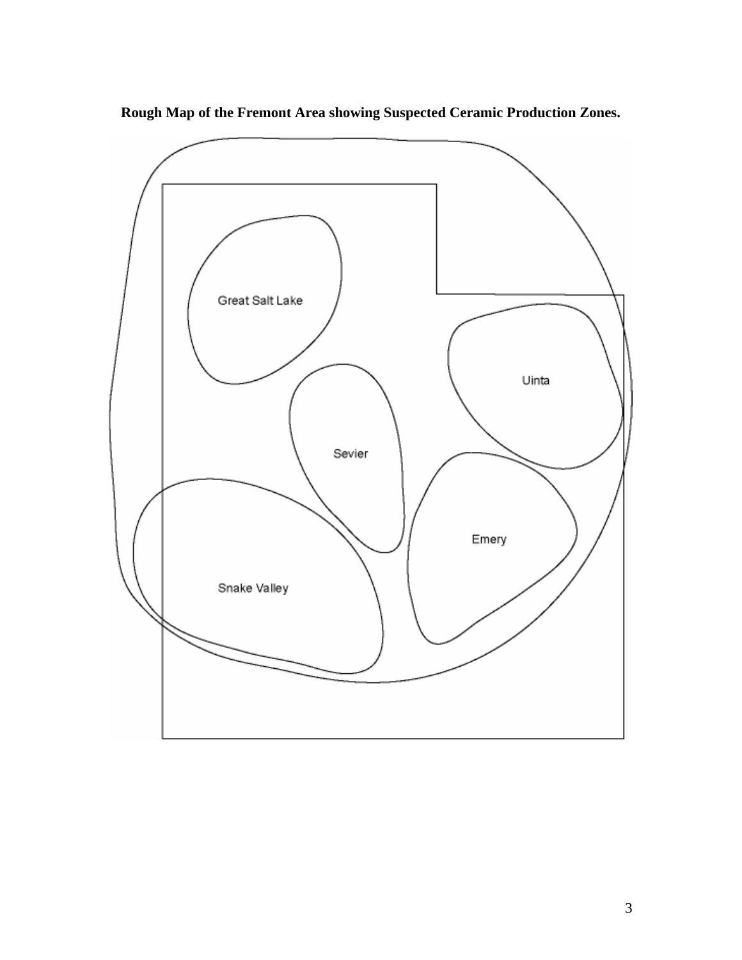

**Rough Map of the Fremont Area showing Suspected Ceramic Production Zones.**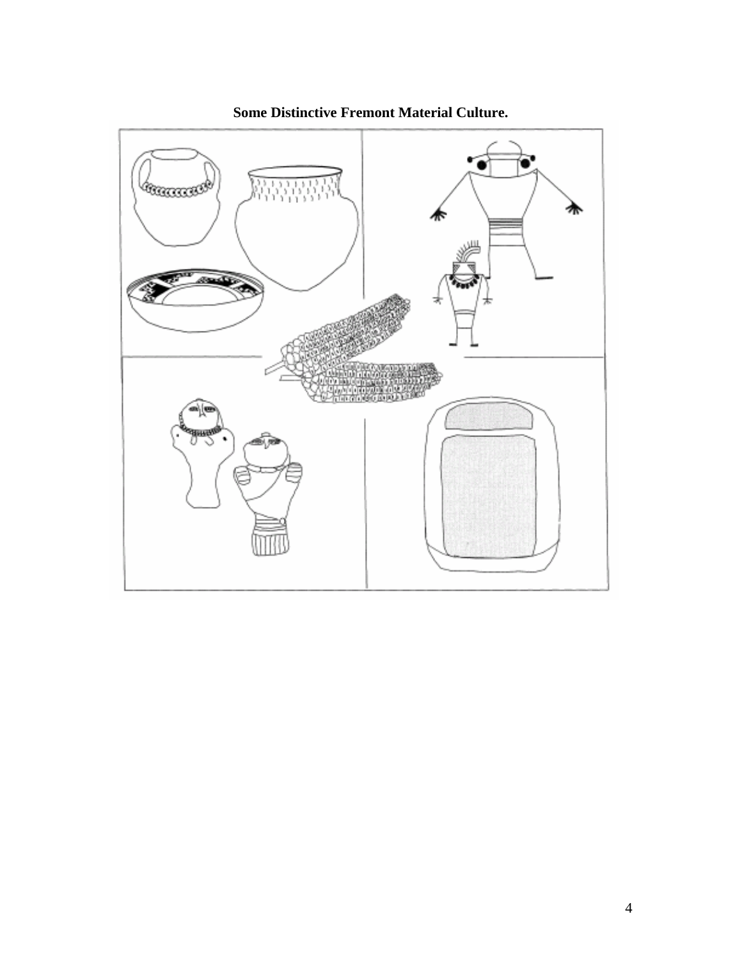

**Some Distinctive Fremont Material Culture.**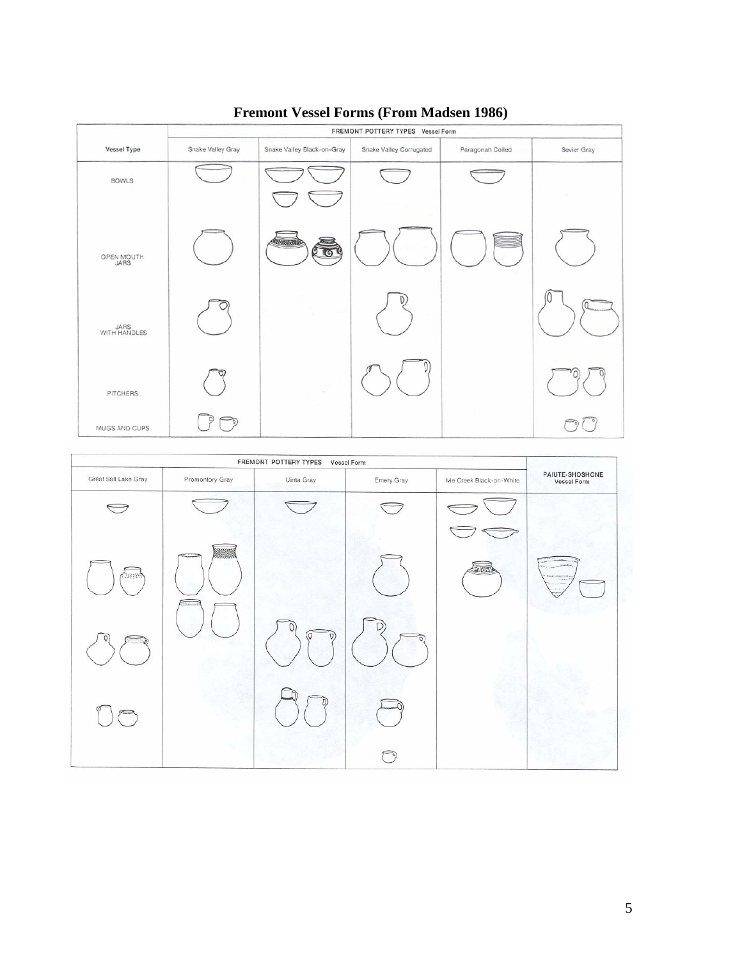

## **Fremont Vessel Forms (From Madsen 1986)**

| FREMONT POTTERY TYPES<br>Vessel Form |                 |            |            |                           |                                |
|--------------------------------------|-----------------|------------|------------|---------------------------|--------------------------------|
| Great Salt Lake Gray                 | Promontory Gray | Uinta Gray | Emery Gray | Ivie Creek Black-on-White | PAIUTE-SHOSHONE<br>Vessel Form |
| $\rightarrow$                        |                 |            |            |                           |                                |
| tressed                              | - 1             |            |            | $L_{\rm IGM}$             | model through the rea          |
|                                      |                 | (а<br>D,   | D          |                           |                                |
|                                      |                 |            |            |                           |                                |
|                                      |                 |            |            |                           |                                |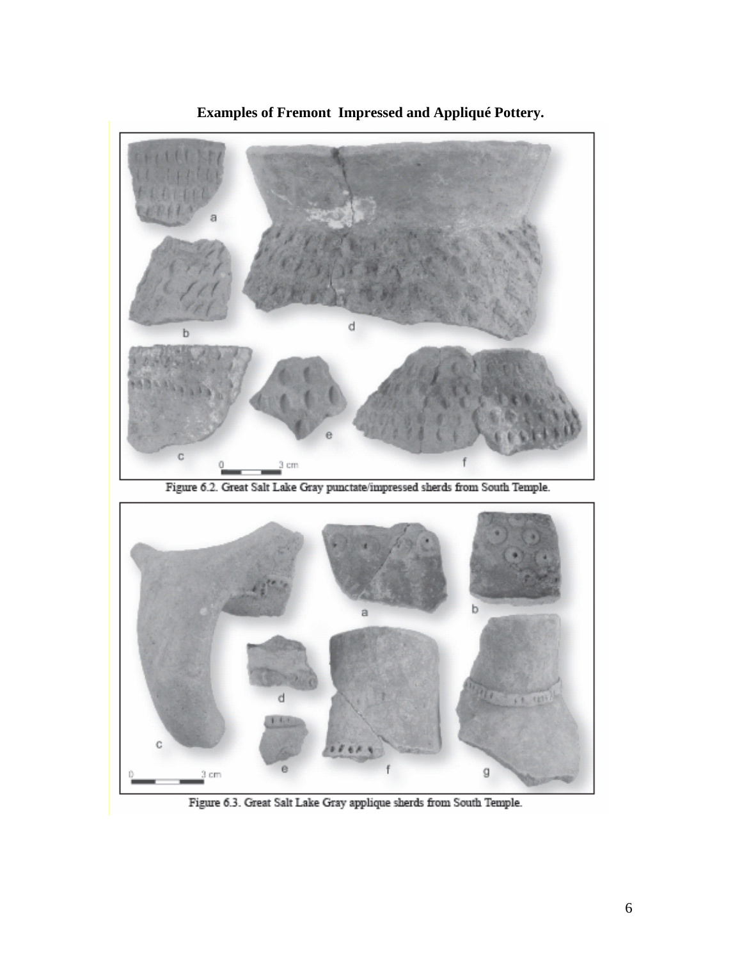

**Examples of Fremont Impressed and Appliqué Pottery.** 

Figure 6.2. Great Salt Lake Gray punctate/impressed sherds from South Temple.



Figure 6.3. Great Salt Lake Gray applique sherds from South Temple.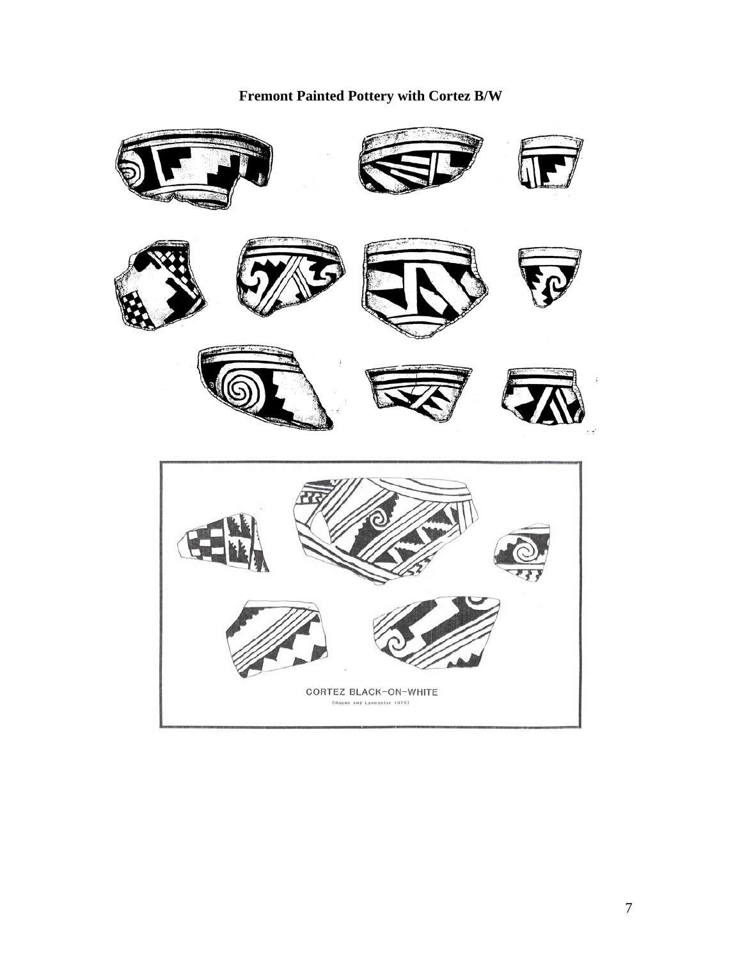

# **Fremont Painted Pottery with Cortez B/W**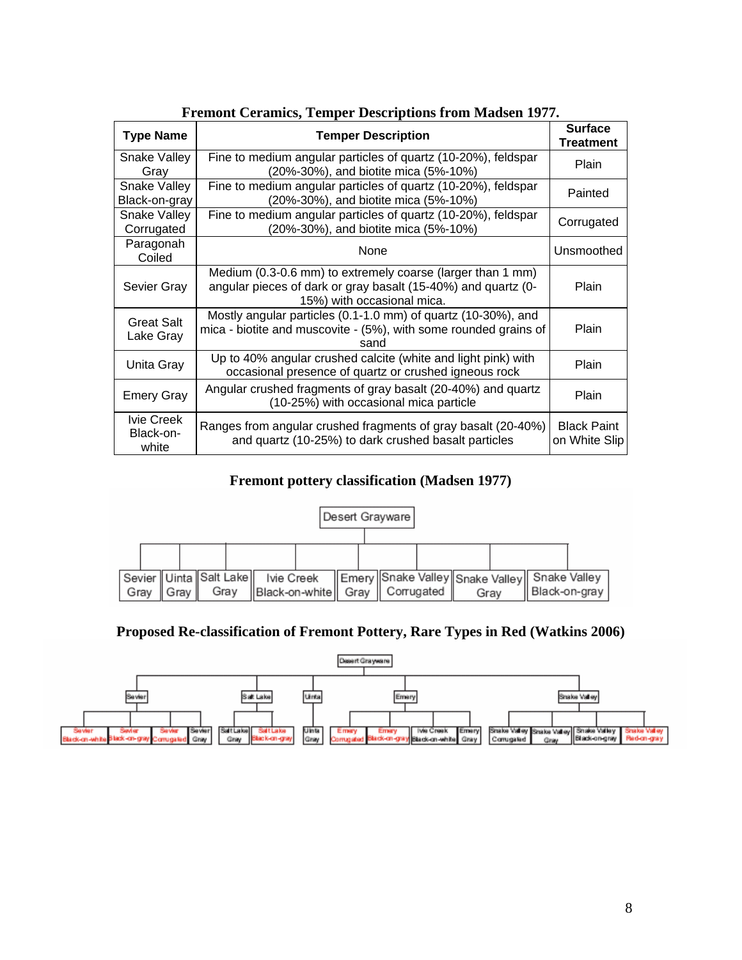| mont cerumno, remper <i>D</i> escriptions if on museum 1977 |                                                                                                                                                           |                                     |  |  |
|-------------------------------------------------------------|-----------------------------------------------------------------------------------------------------------------------------------------------------------|-------------------------------------|--|--|
| <b>Type Name</b>                                            | <b>Temper Description</b>                                                                                                                                 | <b>Surface</b><br><b>Treatment</b>  |  |  |
| <b>Snake Valley</b><br>Gray                                 | Fine to medium angular particles of quartz (10-20%), feldspar<br>(20%-30%), and biotite mica (5%-10%)                                                     | Plain                               |  |  |
| <b>Snake Valley</b><br>Black-on-gray                        | Fine to medium angular particles of quartz (10-20%), feldspar<br>(20%-30%), and biotite mica (5%-10%)                                                     | Painted                             |  |  |
| Snake Valley<br>Corrugated                                  | Fine to medium angular particles of quartz (10-20%), feldspar<br>(20%-30%), and biotite mica (5%-10%)                                                     | Corrugated                          |  |  |
| Paragonah<br>Coiled                                         | None                                                                                                                                                      | Unsmoothed                          |  |  |
| Sevier Gray                                                 | Medium (0.3-0.6 mm) to extremely coarse (larger than 1 mm)<br>angular pieces of dark or gray basalt (15-40%) and quartz (0-<br>15%) with occasional mica. | Plain                               |  |  |
| <b>Great Salt</b><br>Lake Gray                              | Mostly angular particles (0.1-1.0 mm) of quartz (10-30%), and<br>mica - biotite and muscovite - (5%), with some rounded grains of<br>sand                 | Plain                               |  |  |
| Unita Gray                                                  | Up to 40% angular crushed calcite (white and light pink) with<br>occasional presence of quartz or crushed igneous rock                                    | Plain                               |  |  |
| <b>Emery Gray</b>                                           | Angular crushed fragments of gray basalt (20-40%) and quartz<br>(10-25%) with occasional mica particle                                                    | Plain                               |  |  |
| Ivie Creek<br>Black-on-<br>white                            | Ranges from angular crushed fragments of gray basalt (20-40%)<br>and quartz (10-25%) to dark crushed basalt particles                                     | <b>Black Paint</b><br>on White Slip |  |  |

## **Fremont Ceramics, Temper Descriptions from Madsen 1977.**

### **Fremont pottery classification (Madsen 1977)**



## **Proposed Re-classification of Fremont Pottery, Rare Types in Red (Watkins 2006)**

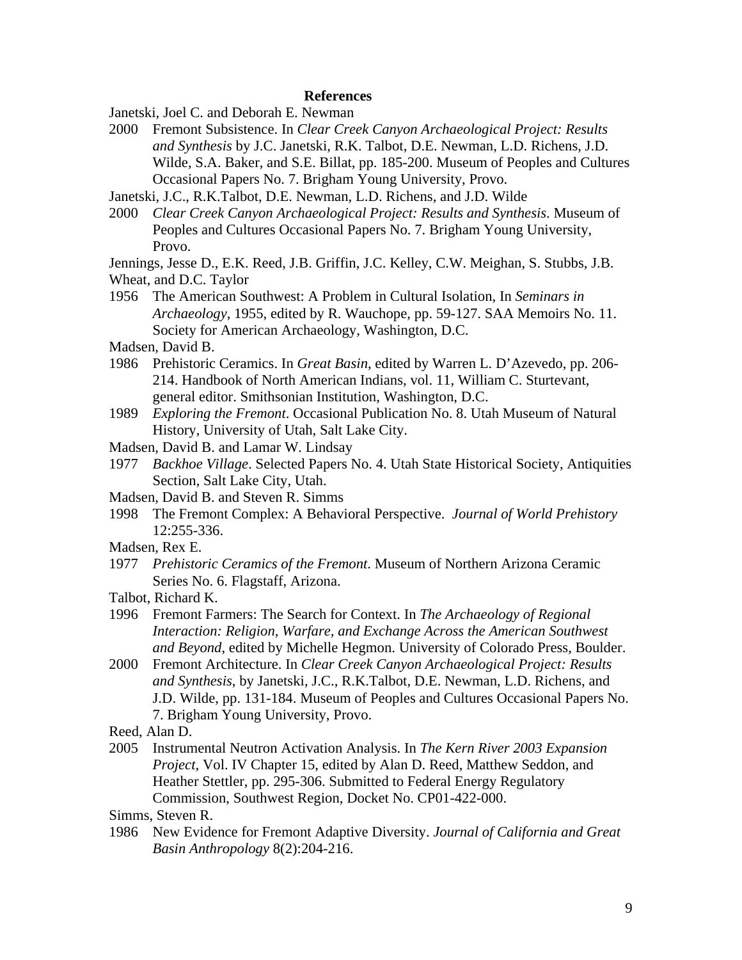### **References**

Janetski, Joel C. and Deborah E. Newman

2000 Fremont Subsistence. In *Clear Creek Canyon Archaeological Project: Results and Synthesis* by J.C. Janetski, R.K. Talbot, D.E. Newman, L.D. Richens, J.D. Wilde, S.A. Baker, and S.E. Billat, pp. 185-200. Museum of Peoples and Cultures Occasional Papers No. 7. Brigham Young University, Provo.

Janetski, J.C., R.K.Talbot, D.E. Newman, L.D. Richens, and J.D. Wilde

2000 *Clear Creek Canyon Archaeological Project: Results and Synthesis*. Museum of Peoples and Cultures Occasional Papers No. 7. Brigham Young University, Provo.

Jennings, Jesse D., E.K. Reed, J.B. Griffin, J.C. Kelley, C.W. Meighan, S. Stubbs, J.B.

- Wheat, and D.C. Taylor
- 1956 The American Southwest: A Problem in Cultural Isolation, In *Seminars in Archaeology*, 1955, edited by R. Wauchope, pp. 59-127. SAA Memoirs No. 11. Society for American Archaeology, Washington, D.C.

Madsen, David B.

- 1986 Prehistoric Ceramics. In *Great Basin*, edited by Warren L. D'Azevedo, pp. 206- 214. Handbook of North American Indians, vol. 11, William C. Sturtevant, general editor. Smithsonian Institution, Washington, D.C.
- 1989 *Exploring the Fremont*. Occasional Publication No. 8. Utah Museum of Natural History, University of Utah, Salt Lake City.
- Madsen, David B. and Lamar W. Lindsay
- 1977 *Backhoe Village*. Selected Papers No. 4. Utah State Historical Society, Antiquities Section, Salt Lake City, Utah.

Madsen, David B. and Steven R. Simms

- 1998 The Fremont Complex: A Behavioral Perspective. *Journal of World Prehistory*  12:255-336.
- Madsen, Rex E.
- 1977 *Prehistoric Ceramics of the Fremont*. Museum of Northern Arizona Ceramic Series No. 6. Flagstaff, Arizona.
- Talbot, Richard K.
- 1996 Fremont Farmers: The Search for Context. In *The Archaeology of Regional Interaction: Religion, Warfare, and Exchange Across the American Southwest and Beyond*, edited by Michelle Hegmon. University of Colorado Press, Boulder.
- 2000 Fremont Architecture. In *Clear Creek Canyon Archaeological Project: Results and Synthesis*, by Janetski, J.C., R.K.Talbot, D.E. Newman, L.D. Richens, and J.D. Wilde, pp. 131-184. Museum of Peoples and Cultures Occasional Papers No. 7. Brigham Young University, Provo.
- Reed, Alan D.
- 2005 Instrumental Neutron Activation Analysis. In *The Kern River 2003 Expansion Project*, Vol. IV Chapter 15, edited by Alan D. Reed, Matthew Seddon, and Heather Stettler, pp. 295-306. Submitted to Federal Energy Regulatory Commission, Southwest Region, Docket No. CP01-422-000.

Simms, Steven R.

1986 New Evidence for Fremont Adaptive Diversity. *Journal of California and Great Basin Anthropology* 8(2):204-216.